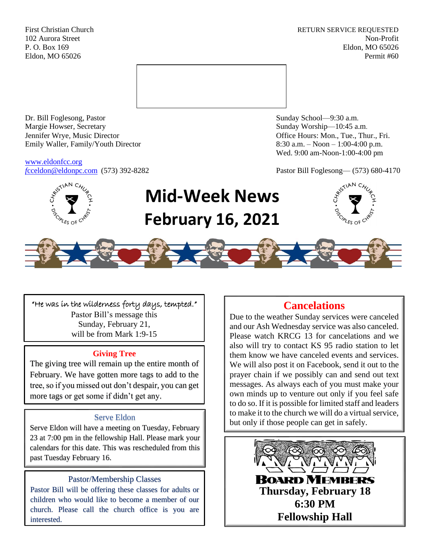First Christian Church **RETURN SERVICE REQUESTED** 102 Aurora Street Non-Profit P. O. Box 169 Eldon, MO 65026 Eldon, MO 65026 Permit #60



Dr. Bill Foglesong, Pastor Sunday School—9:30 a.m. Margie Howser, Secretary Sunday Worship—10:45 a.m. Jennifer Wrye, Music Director Office Hours: Mon., Tue., Thur., Fri. Emily Waller, Family/Youth Director 8:30 a.m. – Noon – 1:00-4:00 p.m.

[www.eldonfcc.org](http://www.eldonfcc.org/)

Wed. 9:00 am-Noon-1:00-4:00 pm

*f*[cceldon@eldonpc.com](mailto:fcceldon@eldonpc.com) (573) 392-8282 Pastor Bill Foglesong— (573) 680-4170



# **Mid-Week News February 16, 2021**





"He was in the wilderness forty days, tempted." Pastor Bill's message this Sunday, February 21, will be from Mark 1:9-15

# **Giving Tree**

The giving tree will remain up the entire month of February. We have gotten more tags to add to the tree, so if you missed out don't despair, you can get more tags or get some if didn't get any.

## Serve Eldon

Serve Eldon will have a meeting on Tuesday, February 23 at 7:00 pm in the fellowship Hall. Please mark your calendars for this date. This was rescheduled from this past Tuesday February 16.

# Pastor/Membership Classes

Pastor Bill will be offering these classes for adults or children who would like to become a member of our church. Please call the church office is you are interested.

# **Cancelations**

Due to the weather Sunday services were canceled and our Ash Wednesday service was also canceled. Please watch KRCG 13 for cancelations and we also will try to contact KS 95 radio station to let them know we have canceled events and services. We will also post it on Facebook, send it out to the prayer chain if we possibly can and send out text messages. As always each of you must make your own minds up to venture out only if you feel safe to do so. If it is possible for limited staff and leaders to make it to the church we will do a virtual service, but only if those people can get in safely.